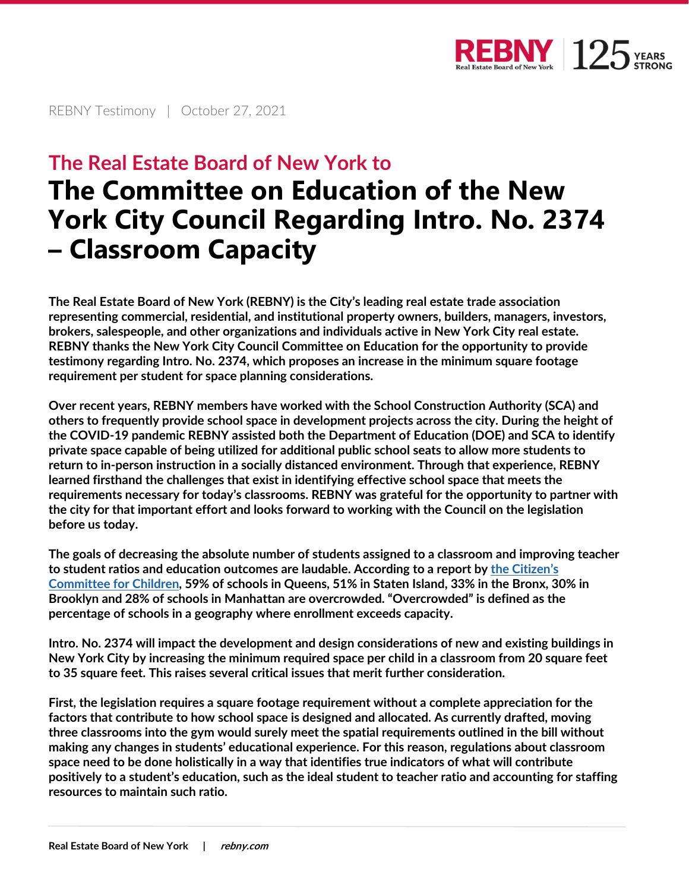

REBNY Testimony | October 27, 2021

## **The Real Estate Board of New York to The Committee on Education of the New York City Council Regarding Intro. No. 2374 – Classroom Capacity**

The Real Estate Board of New York (REBNY) is the City's leading real estate trade association representing commercial, residential, and institutional property owners, builders, managers, investors, brokers, salespeople, and other organizations and individuals active in New York City real estate. REBNY thanks the New York City Council Committee on Education for the opportunity to provide testimony regarding Intro. No. 2374, which proposes an increase in the minimum square footage requirement per student for space planning considerations.

Over recent years, REBNY members have worked with the School Construction Authority (SCA) and others to frequently provide school space in development projects across the city. During the height of the COVID-19 pandemic REBNY assisted both the Department of Education (DOE) and SCA to identify private space capable of being utilized for additional public school seats to allow more students to return to in-person instruction in a socially distanced environment. Through that experience, REBNY learned firsthand the challenges that exist in identifying effective school space that meets the requirements necessary for today's classrooms. REBNY was grateful for the opportunity to partner with the city for that important effort and looks forward to working with the Council on the legislation before us today.

The goals of decreasing the absolute number of students assigned to a classroom and improving teacher to student ratios and education outcomes are laudable. According to a report by the Citizen's Committee for Children, 59% of schools in Queens, 51% in Staten Island, 33% in the Bronx, 30% in Brooklyn and 28% of schools in Manhattan are overcrowded. "Overcrowded" is defined as the percentage of schools in a geography where enrollment exceeds capacity.

Intro. No. 2374 will impact the development and design considerations of new and existing buildings in New York City by increasing the minimum required space per child in a classroom from 20 square feet to 35 square feet. This raises several critical issues that merit further consideration.

First, the legislation requires a square footage requirement without a complete appreciation for the factors that contribute to how school space is designed and allocated. As currently drafted, moving three classrooms into the gym would surely meet the spatial requirements outlined in the bill without making any changes in students' educational experience. For this reason, regulations about classroom space need to be done holistically in a way that identifies true indicators of what will contribute positively to a student's education, such as the ideal student to teacher ratio and accounting for staffing resources to maintain such ratio.